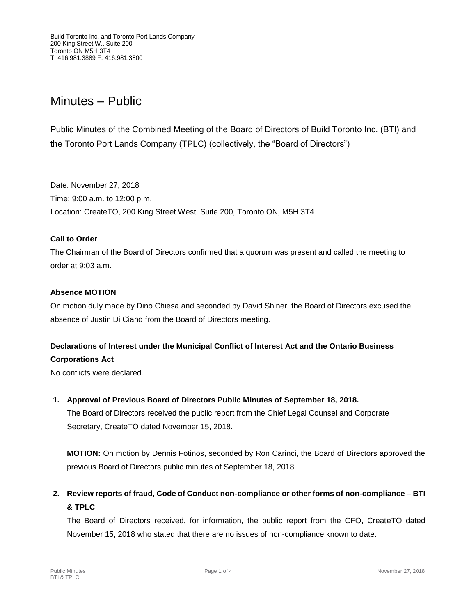# Minutes – Public

Public Minutes of the Combined Meeting of the Board of Directors of Build Toronto Inc. (BTI) and the Toronto Port Lands Company (TPLC) (collectively, the "Board of Directors")

Date: November 27, 2018 Time: 9:00 a.m. to 12:00 p.m. Location: CreateTO, 200 King Street West, Suite 200, Toronto ON, M5H 3T4

### **Call to Order**

The Chairman of the Board of Directors confirmed that a quorum was present and called the meeting to order at 9:03 a.m.

### **Absence MOTION**

On motion duly made by Dino Chiesa and seconded by David Shiner, the Board of Directors excused the absence of Justin Di Ciano from the Board of Directors meeting.

### **Declarations of Interest under the Municipal Conflict of Interest Act and the Ontario Business**

### **Corporations Act**

No conflicts were declared.

### **1. Approval of Previous Board of Directors Public Minutes of September 18, 2018.**

The Board of Directors received the public report from the Chief Legal Counsel and Corporate Secretary, CreateTO dated November 15, 2018.

**MOTION:** On motion by Dennis Fotinos, seconded by Ron Carinci, the Board of Directors approved the previous Board of Directors public minutes of September 18, 2018.

## **2. Review reports of fraud, Code of Conduct non-compliance or other forms of non-compliance – BTI & TPLC**

The Board of Directors received, for information, the public report from the CFO, CreateTO dated November 15, 2018 who stated that there are no issues of non-compliance known to date.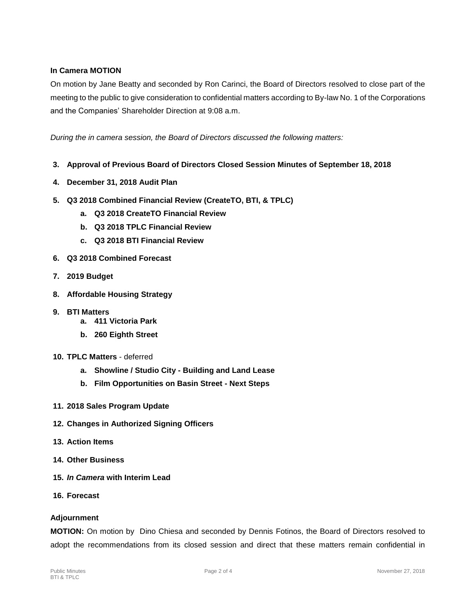### **In Camera MOTION**

On motion by Jane Beatty and seconded by Ron Carinci, the Board of Directors resolved to close part of the meeting to the public to give consideration to confidential matters according to By-law No. 1 of the Corporations and the Companies' Shareholder Direction at 9:08 a.m.

*During the in camera session, the Board of Directors discussed the following matters:*

- **3. Approval of Previous Board of Directors Closed Session Minutes of September 18, 2018**
- **4. December 31, 2018 Audit Plan**
- **5. Q3 2018 Combined Financial Review (CreateTO, BTI, & TPLC)**
	- **a. Q3 2018 CreateTO Financial Review**
	- **b. Q3 2018 TPLC Financial Review**
	- **c. Q3 2018 BTI Financial Review**
- **6. Q3 2018 Combined Forecast**
- **7. 2019 Budget**
- **8. Affordable Housing Strategy**
- **9. BTI Matters**
	- **a. 411 Victoria Park**
	- **b. 260 Eighth Street**
- **10. TPLC Matters** deferred
	- **a. Showline / Studio City - Building and Land Lease**
	- **b. Film Opportunities on Basin Street - Next Steps**
- **11. 2018 Sales Program Update**
- **12. Changes in Authorized Signing Officers**
- **13. Action Items**
- **14. Other Business**
- **15.** *In Camera* **with Interim Lead**
- **16. Forecast**

### **Adjournment**

**MOTION:** On motion by Dino Chiesa and seconded by Dennis Fotinos, the Board of Directors resolved to adopt the recommendations from its closed session and direct that these matters remain confidential in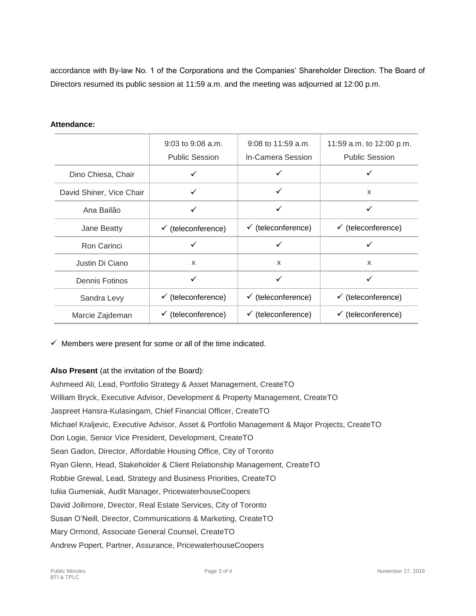accordance with By-law No. 1 of the Corporations and the Companies' Shareholder Direction. The Board of Directors resumed its public session at 11:59 a.m. and the meeting was adjourned at 12:00 p.m.

#### **Attendance:**

|                          | $9:03$ to $9:08$ a.m.         | $9:08$ to 11:59 a.m.          | 11:59 a.m. to 12:00 p.m.      |
|--------------------------|-------------------------------|-------------------------------|-------------------------------|
|                          | <b>Public Session</b>         | In-Camera Session             | <b>Public Session</b>         |
| Dino Chiesa, Chair       |                               |                               |                               |
| David Shiner, Vice Chair | ✓                             | ✓                             | $\mathsf{x}$                  |
| Ana Bailão               | ✓                             | ✓                             | ✓                             |
| Jane Beatty              | $\checkmark$ (teleconference) | $\checkmark$ (teleconference) | $\checkmark$ (teleconference) |
| Ron Carinci              | ✓                             | ✓                             |                               |
| Justin Di Ciano          | X                             | X                             | $\mathsf{x}$                  |
| Dennis Fotinos           | ✓                             | ✓                             | ✓                             |
| Sandra Levy              | $\checkmark$ (teleconference) | $\checkmark$ (teleconference) | $\checkmark$ (teleconference) |
| Marcie Zajdeman          | $\checkmark$ (teleconference) | $\checkmark$ (teleconference) | $\checkmark$ (teleconference) |

 $\checkmark$  Members were present for some or all of the time indicated.

### **Also Present** (at the invitation of the Board):

Ashmeed Ali, Lead, Portfolio Strategy & Asset Management, CreateTO William Bryck, Executive Advisor, Development & Property Management, CreateTO Jaspreet Hansra-Kulasingam, Chief Financial Officer, CreateTO Michael Kraljevic, Executive Advisor, Asset & Portfolio Management & Major Projects, CreateTO Don Logie, Senior Vice President, Development, CreateTO Sean Gadon, Director, Affordable Housing Office, City of Toronto Ryan Glenn, Head, Stakeholder & Client Relationship Management, CreateTO Robbie Grewal, Lead, Strategy and Business Priorities, CreateTO Iuliia Gumeniak, Audit Manager, PricewaterhouseCoopers David Jollimore, Director, Real Estate Services, City of Toronto Susan O'Neill, Director, Communications & Marketing, CreateTO Mary Ormond, Associate General Counsel, CreateTO Andrew Popert, Partner, Assurance, PricewaterhouseCoopers